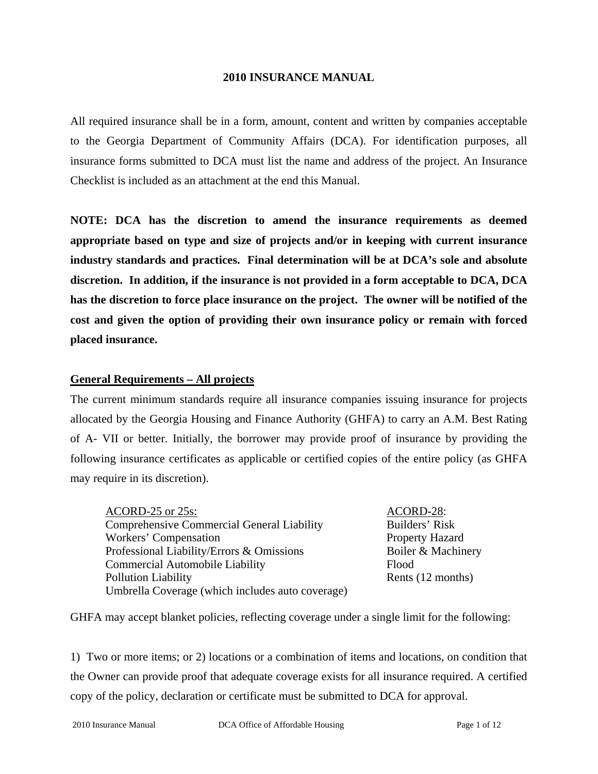### **2010 INSURANCE MANUAL**

All required insurance shall be in a form, amount, content and written by companies acceptable to the Georgia Department of Community Affairs (DCA). For identification purposes, all insurance forms submitted to DCA must list the name and address of the project. An Insurance Checklist is included as an attachment at the end this Manual.

**NOTE: DCA has the discretion to amend the insurance requirements as deemed appropriate based on type and size of projects and/or in keeping with current insurance industry standards and practices. Final determination will be at DCA's sole and absolute discretion. In addition, if the insurance is not provided in a form acceptable to DCA, DCA has the discretion to force place insurance on the project. The owner will be notified of the cost and given the option of providing their own insurance policy or remain with forced placed insurance.** 

## **General Requirements – All projects**

The current minimum standards require all insurance companies issuing insurance for projects allocated by the Georgia Housing and Finance Authority (GHFA) to carry an A.M. Best Rating of A- VII or better. Initially, the borrower may provide proof of insurance by providing the following insurance certificates as applicable or certified copies of the entire policy (as GHFA may require in its discretion).

ACORD-25 or 25s: ACORD-28: Comprehensive Commercial General Liability Builders' Risk Workers' Compensation Property Hazard Professional Liability/Errors & Omissions Boiler & Machinery Commercial Automobile Liability Flood Pollution Liability **Rents** (12 months) Umbrella Coverage (which includes auto coverage)

GHFA may accept blanket policies, reflecting coverage under a single limit for the following:

1) Two or more items; or 2) locations or a combination of items and locations, on condition that the Owner can provide proof that adequate coverage exists for all insurance required. A certified copy of the policy, declaration or certificate must be submitted to DCA for approval.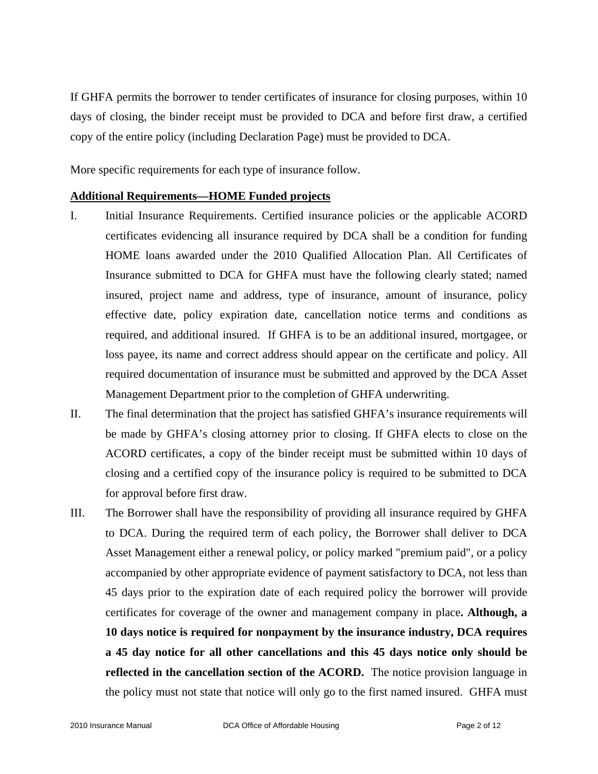If GHFA permits the borrower to tender certificates of insurance for closing purposes, within 10 days of closing, the binder receipt must be provided to DCA and before first draw, a certified copy of the entire policy (including Declaration Page) must be provided to DCA.

More specific requirements for each type of insurance follow.

## **Additional Requirements—HOME Funded projects**

- I. Initial Insurance Requirements. Certified insurance policies or the applicable ACORD certificates evidencing all insurance required by DCA shall be a condition for funding HOME loans awarded under the 2010 Qualified Allocation Plan. All Certificates of Insurance submitted to DCA for GHFA must have the following clearly stated; named insured, project name and address, type of insurance, amount of insurance, policy effective date, policy expiration date, cancellation notice terms and conditions as required, and additional insured. If GHFA is to be an additional insured, mortgagee, or loss payee, its name and correct address should appear on the certificate and policy. All required documentation of insurance must be submitted and approved by the DCA Asset Management Department prior to the completion of GHFA underwriting.
- II. The final determination that the project has satisfied GHFA's insurance requirements will be made by GHFA's closing attorney prior to closing. If GHFA elects to close on the ACORD certificates, a copy of the binder receipt must be submitted within 10 days of closing and a certified copy of the insurance policy is required to be submitted to DCA for approval before first draw.
- III. The Borrower shall have the responsibility of providing all insurance required by GHFA to DCA. During the required term of each policy, the Borrower shall deliver to DCA Asset Management either a renewal policy, or policy marked "premium paid", or a policy accompanied by other appropriate evidence of payment satisfactory to DCA, not less than 45 days prior to the expiration date of each required policy the borrower will provide certificates for coverage of the owner and management company in place**. Although, a 10 days notice is required for nonpayment by the insurance industry, DCA requires a 45 day notice for all other cancellations and this 45 days notice only should be reflected in the cancellation section of the ACORD.** The notice provision language in the policy must not state that notice will only go to the first named insured. GHFA must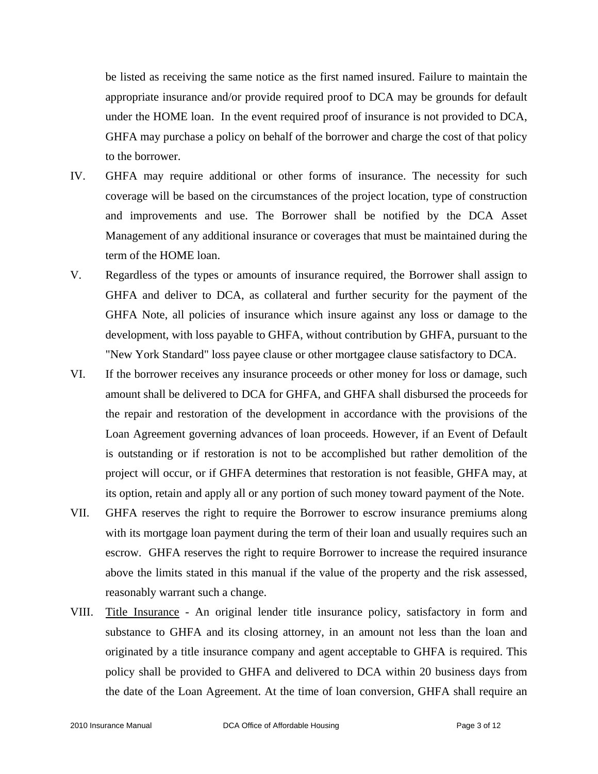be listed as receiving the same notice as the first named insured. Failure to maintain the appropriate insurance and/or provide required proof to DCA may be grounds for default under the HOME loan. In the event required proof of insurance is not provided to DCA, GHFA may purchase a policy on behalf of the borrower and charge the cost of that policy to the borrower.

- IV. GHFA may require additional or other forms of insurance. The necessity for such coverage will be based on the circumstances of the project location, type of construction and improvements and use. The Borrower shall be notified by the DCA Asset Management of any additional insurance or coverages that must be maintained during the term of the HOME loan.
- V. Regardless of the types or amounts of insurance required, the Borrower shall assign to GHFA and deliver to DCA, as collateral and further security for the payment of the GHFA Note, all policies of insurance which insure against any loss or damage to the development, with loss payable to GHFA, without contribution by GHFA, pursuant to the "New York Standard" loss payee clause or other mortgagee clause satisfactory to DCA.
- VI. If the borrower receives any insurance proceeds or other money for loss or damage, such amount shall be delivered to DCA for GHFA, and GHFA shall disbursed the proceeds for the repair and restoration of the development in accordance with the provisions of the Loan Agreement governing advances of loan proceeds. However, if an Event of Default is outstanding or if restoration is not to be accomplished but rather demolition of the project will occur, or if GHFA determines that restoration is not feasible, GHFA may, at its option, retain and apply all or any portion of such money toward payment of the Note.
- VII. GHFA reserves the right to require the Borrower to escrow insurance premiums along with its mortgage loan payment during the term of their loan and usually requires such an escrow. GHFA reserves the right to require Borrower to increase the required insurance above the limits stated in this manual if the value of the property and the risk assessed, reasonably warrant such a change.
- VIII. Title Insurance An original lender title insurance policy, satisfactory in form and substance to GHFA and its closing attorney, in an amount not less than the loan and originated by a title insurance company and agent acceptable to GHFA is required. This policy shall be provided to GHFA and delivered to DCA within 20 business days from the date of the Loan Agreement. At the time of loan conversion, GHFA shall require an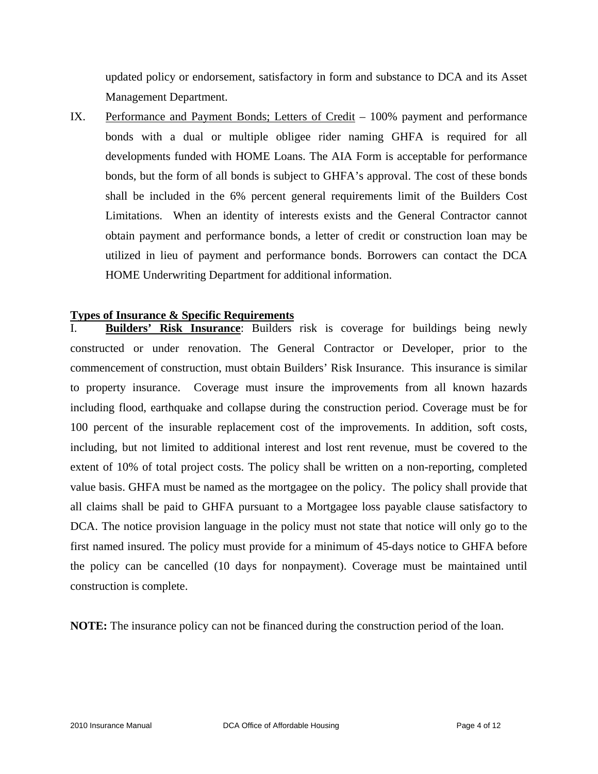updated policy or endorsement, satisfactory in form and substance to DCA and its Asset Management Department.

IX. Performance and Payment Bonds; Letters of Credit – 100% payment and performance bonds with a dual or multiple obligee rider naming GHFA is required for all developments funded with HOME Loans. The AIA Form is acceptable for performance bonds, but the form of all bonds is subject to GHFA's approval. The cost of these bonds shall be included in the 6% percent general requirements limit of the Builders Cost Limitations. When an identity of interests exists and the General Contractor cannot obtain payment and performance bonds, a letter of credit or construction loan may be utilized in lieu of payment and performance bonds. Borrowers can contact the DCA HOME Underwriting Department for additional information.

## **Types of Insurance & Specific Requirements**

**Builders' Risk Insurance**: Builders risk is coverage for buildings being newly constructed or under renovation. The General Contractor or Developer, prior to the commencement of construction, must obtain Builders' Risk Insurance. This insurance is similar to property insurance. Coverage must insure the improvements from all known hazards including flood, earthquake and collapse during the construction period. Coverage must be for 100 percent of the insurable replacement cost of the improvements. In addition, soft costs, including, but not limited to additional interest and lost rent revenue, must be covered to the extent of 10% of total project costs. The policy shall be written on a non-reporting, completed value basis. GHFA must be named as the mortgagee on the policy. The policy shall provide that all claims shall be paid to GHFA pursuant to a Mortgagee loss payable clause satisfactory to DCA. The notice provision language in the policy must not state that notice will only go to the first named insured. The policy must provide for a minimum of 45-days notice to GHFA before the policy can be cancelled (10 days for nonpayment). Coverage must be maintained until construction is complete.

**NOTE:** The insurance policy can not be financed during the construction period of the loan.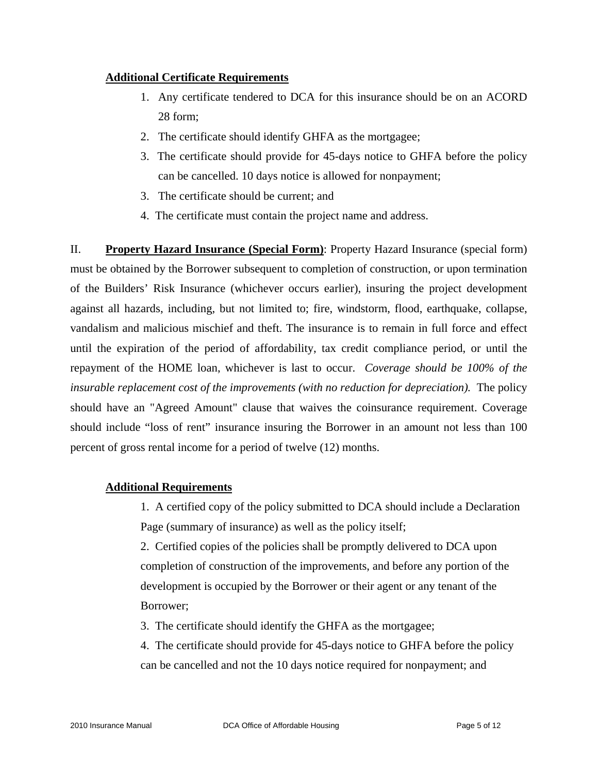## **Additional Certificate Requirements**

- 1. Any certificate tendered to DCA for this insurance should be on an ACORD 28 form;
- 2. The certificate should identify GHFA as the mortgagee;
- 3. The certificate should provide for 45-days notice to GHFA before the policy can be cancelled. 10 days notice is allowed for nonpayment;
- 3. The certificate should be current; and
- 4. The certificate must contain the project name and address.

II. **Property Hazard Insurance (Special Form)**: Property Hazard Insurance (special form) must be obtained by the Borrower subsequent to completion of construction, or upon termination of the Builders' Risk Insurance (whichever occurs earlier), insuring the project development against all hazards, including, but not limited to; fire, windstorm, flood, earthquake, collapse, vandalism and malicious mischief and theft. The insurance is to remain in full force and effect until the expiration of the period of affordability, tax credit compliance period, or until the repayment of the HOME loan, whichever is last to occur. *Coverage should be 100% of the insurable replacement cost of the improvements (with no reduction for depreciation).* The policy should have an "Agreed Amount" clause that waives the coinsurance requirement. Coverage should include "loss of rent" insurance insuring the Borrower in an amount not less than 100 percent of gross rental income for a period of twelve (12) months.

# **Additional Requirements**

1. A certified copy of the policy submitted to DCA should include a Declaration Page (summary of insurance) as well as the policy itself;

2. Certified copies of the policies shall be promptly delivered to DCA upon completion of construction of the improvements, and before any portion of the development is occupied by the Borrower or their agent or any tenant of the Borrower;

3. The certificate should identify the GHFA as the mortgagee;

4. The certificate should provide for 45-days notice to GHFA before the policy can be cancelled and not the 10 days notice required for nonpayment; and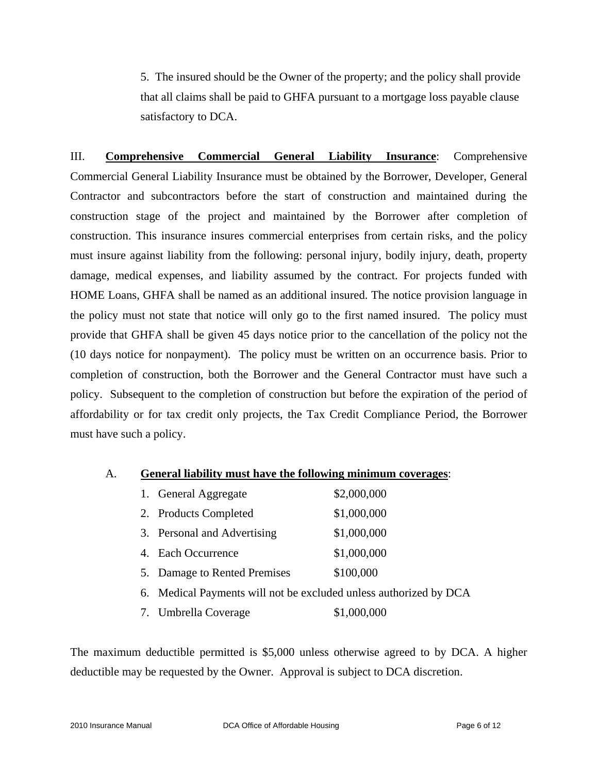5. The insured should be the Owner of the property; and the policy shall provide that all claims shall be paid to GHFA pursuant to a mortgage loss payable clause satisfactory to DCA.

III. **Comprehensive Commercial General Liability Insurance**: Comprehensive Commercial General Liability Insurance must be obtained by the Borrower, Developer, General Contractor and subcontractors before the start of construction and maintained during the construction stage of the project and maintained by the Borrower after completion of construction. This insurance insures commercial enterprises from certain risks, and the policy must insure against liability from the following: personal injury, bodily injury, death, property damage, medical expenses, and liability assumed by the contract. For projects funded with HOME Loans, GHFA shall be named as an additional insured. The notice provision language in the policy must not state that notice will only go to the first named insured. The policy must provide that GHFA shall be given 45 days notice prior to the cancellation of the policy not the (10 days notice for nonpayment). The policy must be written on an occurrence basis. Prior to completion of construction, both the Borrower and the General Contractor must have such a policy. Subsequent to the completion of construction but before the expiration of the period of affordability or for tax credit only projects, the Tax Credit Compliance Period, the Borrower must have such a policy.

### A. **General liability must have the following minimum coverages**:

| 1. General Aggregate                                              | \$2,000,000 |
|-------------------------------------------------------------------|-------------|
| 2. Products Completed                                             | \$1,000,000 |
| 3. Personal and Advertising                                       | \$1,000,000 |
| 4. Each Occurrence                                                | \$1,000,000 |
| 5. Damage to Rented Premises                                      | \$100,000   |
| 6. Medical Payments will not be excluded unless authorized by DCA |             |

7. Umbrella Coverage \$1,000,000

The maximum deductible permitted is \$5,000 unless otherwise agreed to by DCA. A higher deductible may be requested by the Owner. Approval is subject to DCA discretion.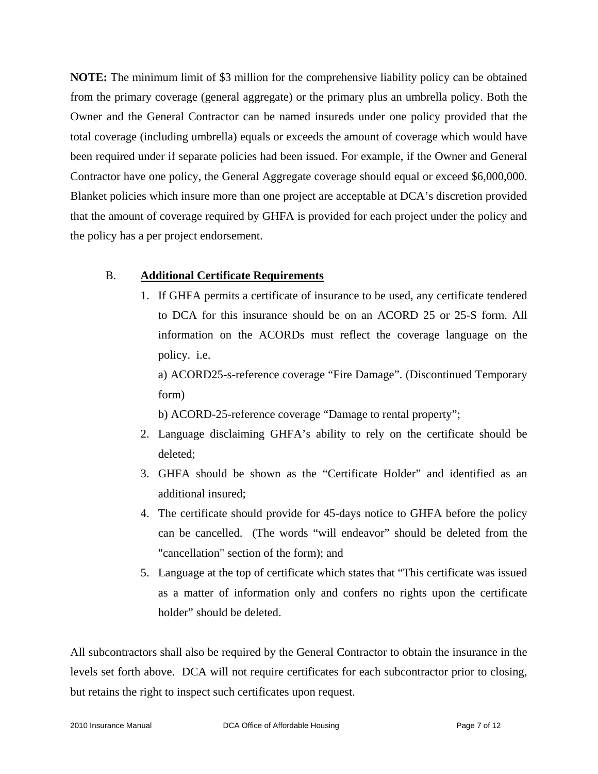**NOTE:** The minimum limit of \$3 million for the comprehensive liability policy can be obtained from the primary coverage (general aggregate) or the primary plus an umbrella policy. Both the Owner and the General Contractor can be named insureds under one policy provided that the total coverage (including umbrella) equals or exceeds the amount of coverage which would have been required under if separate policies had been issued. For example, if the Owner and General Contractor have one policy, the General Aggregate coverage should equal or exceed \$6,000,000. Blanket policies which insure more than one project are acceptable at DCA's discretion provided that the amount of coverage required by GHFA is provided for each project under the policy and the policy has a per project endorsement.

## B. **Additional Certificate Requirements**

1. If GHFA permits a certificate of insurance to be used, any certificate tendered to DCA for this insurance should be on an ACORD 25 or 25-S form. All information on the ACORDs must reflect the coverage language on the policy. i.e.

a) ACORD25-s-reference coverage "Fire Damage". (Discontinued Temporary form)

b) ACORD-25-reference coverage "Damage to rental property";

- 2. Language disclaiming GHFA's ability to rely on the certificate should be deleted;
- 3. GHFA should be shown as the "Certificate Holder" and identified as an additional insured;
- 4. The certificate should provide for 45-days notice to GHFA before the policy can be cancelled. (The words "will endeavor" should be deleted from the "cancellation" section of the form); and
- 5. Language at the top of certificate which states that "This certificate was issued as a matter of information only and confers no rights upon the certificate holder" should be deleted.

All subcontractors shall also be required by the General Contractor to obtain the insurance in the levels set forth above. DCA will not require certificates for each subcontractor prior to closing, but retains the right to inspect such certificates upon request.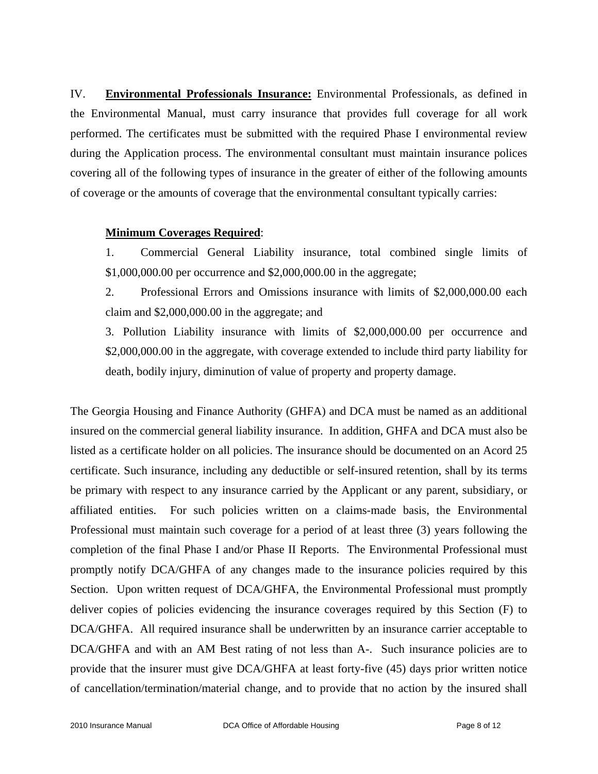IV. **Environmental Professionals Insurance:** Environmental Professionals, as defined in the Environmental Manual, must carry insurance that provides full coverage for all work performed. The certificates must be submitted with the required Phase I environmental review during the Application process. The environmental consultant must maintain insurance polices covering all of the following types of insurance in the greater of either of the following amounts of coverage or the amounts of coverage that the environmental consultant typically carries:

## **Minimum Coverages Required**:

1. Commercial General Liability insurance, total combined single limits of \$1,000,000.00 per occurrence and \$2,000,000.00 in the aggregate;

2. Professional Errors and Omissions insurance with limits of \$2,000,000.00 each claim and \$2,000,000.00 in the aggregate; and

3. Pollution Liability insurance with limits of \$2,000,000.00 per occurrence and \$2,000,000.00 in the aggregate, with coverage extended to include third party liability for death, bodily injury, diminution of value of property and property damage.

The Georgia Housing and Finance Authority (GHFA) and DCA must be named as an additional insured on the commercial general liability insurance. In addition, GHFA and DCA must also be listed as a certificate holder on all policies. The insurance should be documented on an Acord 25 certificate. Such insurance, including any deductible or self-insured retention, shall by its terms be primary with respect to any insurance carried by the Applicant or any parent, subsidiary, or affiliated entities. For such policies written on a claims-made basis, the Environmental Professional must maintain such coverage for a period of at least three (3) years following the completion of the final Phase I and/or Phase II Reports. The Environmental Professional must promptly notify DCA/GHFA of any changes made to the insurance policies required by this Section. Upon written request of DCA/GHFA, the Environmental Professional must promptly deliver copies of policies evidencing the insurance coverages required by this Section (F) to DCA/GHFA. All required insurance shall be underwritten by an insurance carrier acceptable to DCA/GHFA and with an AM Best rating of not less than A-. Such insurance policies are to provide that the insurer must give DCA/GHFA at least forty-five (45) days prior written notice of cancellation/termination/material change, and to provide that no action by the insured shall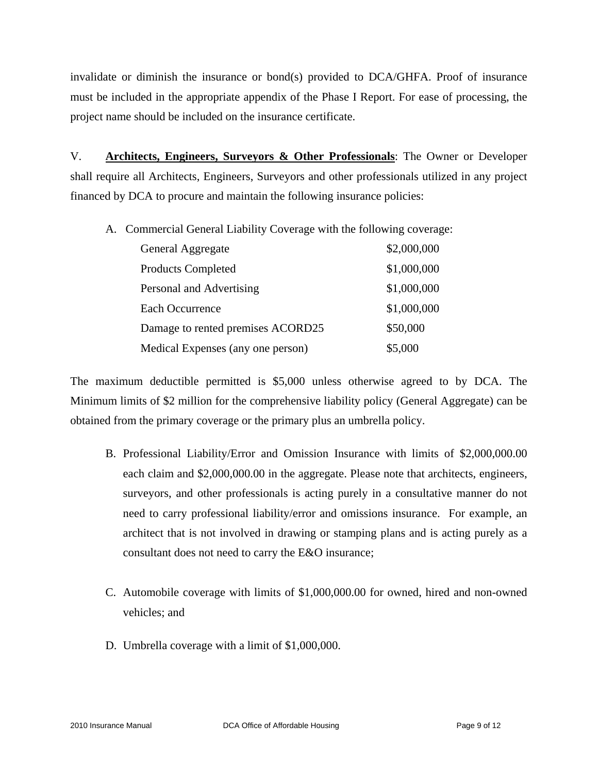invalidate or diminish the insurance or bond(s) provided to DCA/GHFA. Proof of insurance must be included in the appropriate appendix of the Phase I Report. For ease of processing, the project name should be included on the insurance certificate.

V. **Architects, Engineers, Surveyors & Other Professionals**: The Owner or Developer shall require all Architects, Engineers, Surveyors and other professionals utilized in any project financed by DCA to procure and maintain the following insurance policies:

A. Commercial General Liability Coverage with the following coverage:

| General Aggregate                 | \$2,000,000 |
|-----------------------------------|-------------|
| <b>Products Completed</b>         | \$1,000,000 |
| Personal and Advertising          | \$1,000,000 |
| Each Occurrence                   | \$1,000,000 |
| Damage to rented premises ACORD25 | \$50,000    |
| Medical Expenses (any one person) | \$5,000     |

The maximum deductible permitted is \$5,000 unless otherwise agreed to by DCA. The Minimum limits of \$2 million for the comprehensive liability policy (General Aggregate) can be obtained from the primary coverage or the primary plus an umbrella policy.

- B. Professional Liability/Error and Omission Insurance with limits of \$2,000,000.00 each claim and \$2,000,000.00 in the aggregate. Please note that architects, engineers, surveyors, and other professionals is acting purely in a consultative manner do not need to carry professional liability/error and omissions insurance. For example, an architect that is not involved in drawing or stamping plans and is acting purely as a consultant does not need to carry the E&O insurance;
- C. Automobile coverage with limits of \$1,000,000.00 for owned, hired and non-owned vehicles; and
- D. Umbrella coverage with a limit of \$1,000,000.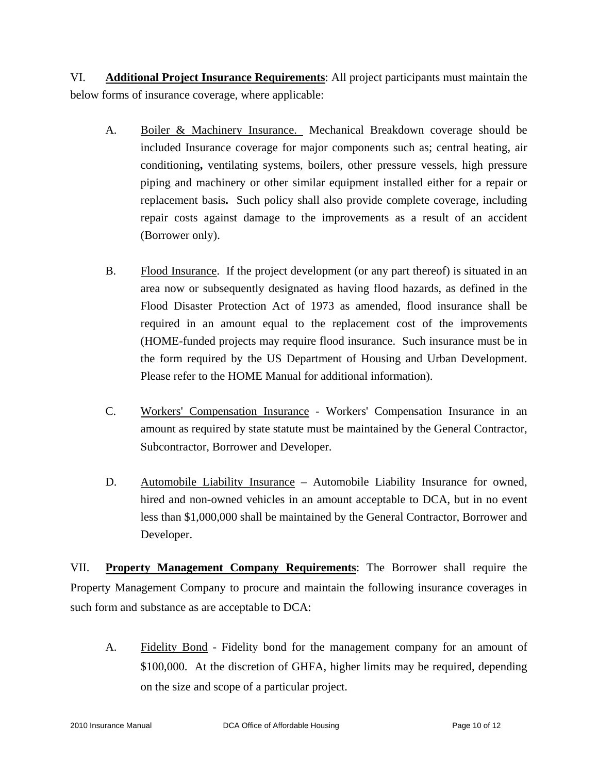VI. **Additional Project Insurance Requirements**: All project participants must maintain the below forms of insurance coverage, where applicable:

- A. Boiler & Machinery Insurance. Mechanical Breakdown coverage should be included Insurance coverage for major components such as; central heating, air conditioning**,** ventilating systems, boilers, other pressure vessels, high pressure piping and machinery or other similar equipment installed either for a repair or replacement basis**.** Such policy shall also provide complete coverage, including repair costs against damage to the improvements as a result of an accident (Borrower only).
- B. Flood Insurance. If the project development (or any part thereof) is situated in an area now or subsequently designated as having flood hazards, as defined in the Flood Disaster Protection Act of 1973 as amended, flood insurance shall be required in an amount equal to the replacement cost of the improvements (HOME-funded projects may require flood insurance. Such insurance must be in the form required by the US Department of Housing and Urban Development. Please refer to the HOME Manual for additional information).
- C. Workers' Compensation Insurance Workers' Compensation Insurance in an amount as required by state statute must be maintained by the General Contractor, Subcontractor, Borrower and Developer.
- D. Automobile Liability Insurance Automobile Liability Insurance for owned, hired and non-owned vehicles in an amount acceptable to DCA, but in no event less than \$1,000,000 shall be maintained by the General Contractor, Borrower and Developer.

VII. **Property Management Company Requirements**: The Borrower shall require the Property Management Company to procure and maintain the following insurance coverages in such form and substance as are acceptable to DCA:

A. Fidelity Bond - Fidelity bond for the management company for an amount of \$100,000. At the discretion of GHFA, higher limits may be required, depending on the size and scope of a particular project.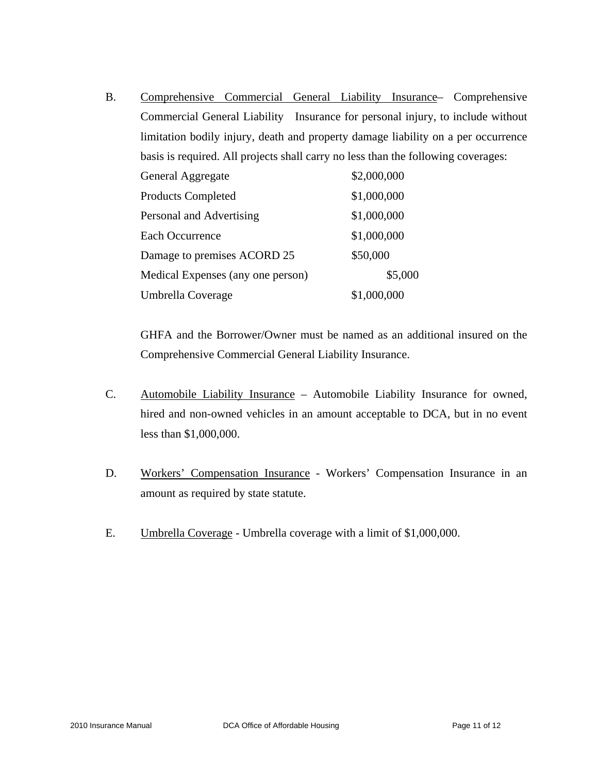B. Comprehensive Commercial General Liability Insurance– Comprehensive Commercial General Liability Insurance for personal injury, to include without limitation bodily injury, death and property damage liability on a per occurrence basis is required. All projects shall carry no less than the following coverages:

| General Aggregate                 | \$2,000,000 |
|-----------------------------------|-------------|
| <b>Products Completed</b>         | \$1,000,000 |
| Personal and Advertising          | \$1,000,000 |
| Each Occurrence                   | \$1,000,000 |
| Damage to premises ACORD 25       | \$50,000    |
| Medical Expenses (any one person) | \$5,000     |
| Umbrella Coverage                 | \$1,000,000 |

GHFA and the Borrower/Owner must be named as an additional insured on the Comprehensive Commercial General Liability Insurance.

- C. Automobile Liability Insurance Automobile Liability Insurance for owned, hired and non-owned vehicles in an amount acceptable to DCA, but in no event less than \$1,000,000.
- D. Workers' Compensation Insurance Workers' Compensation Insurance in an amount as required by state statute.
- E. Umbrella Coverage Umbrella coverage with a limit of \$1,000,000.